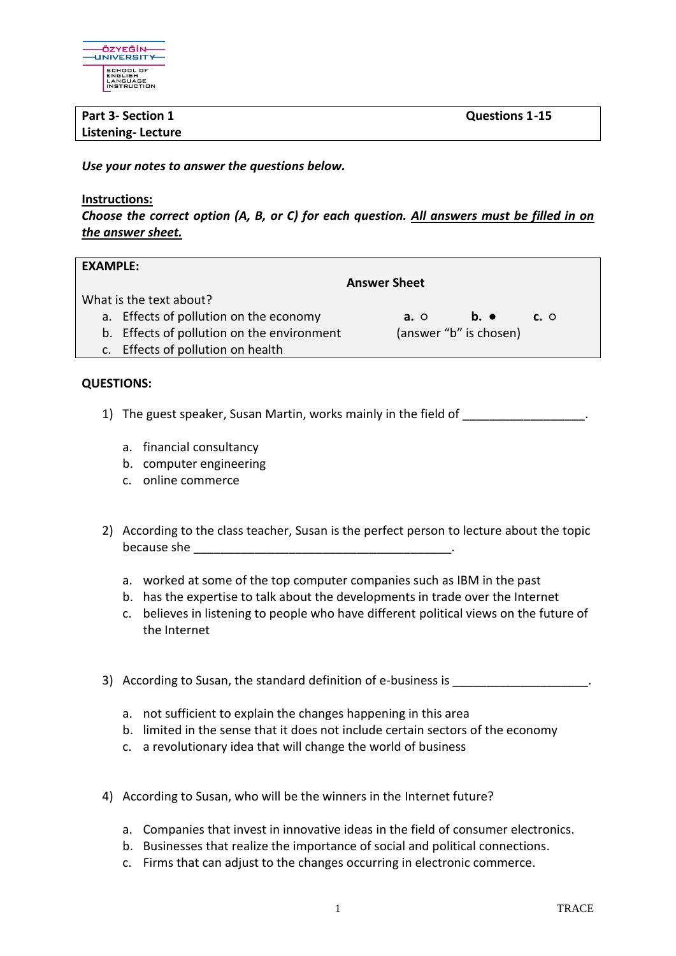

## **Part 3-** Section 1 Questions 1-15 **Listening- Lecture**

*Use your notes to answer the questions below.*

## **Instructions:**

*Choose the correct option (A, B, or C) for each question. All answers must be filled in on the answer sheet.*

| <b>EXAMPLE:</b>         |                                            |                        |                          |            |  |
|-------------------------|--------------------------------------------|------------------------|--------------------------|------------|--|
|                         | <b>Answer Sheet</b>                        |                        |                          |            |  |
| What is the text about? |                                            |                        |                          |            |  |
|                         | a. Effects of pollution on the economy     | $a. \circ$             | $\mathbf{b}$ . $\bullet$ | $c. \circ$ |  |
|                         | b. Effects of pollution on the environment | (answer "b" is chosen) |                          |            |  |
|                         | c. Effects of pollution on health          |                        |                          |            |  |
|                         |                                            |                        |                          |            |  |

## **QUESTIONS:**

- 1) The guest speaker, Susan Martin, works mainly in the field of
	- a. financial consultancy
	- b. computer engineering
	- c. online commerce
- 2) According to the class teacher, Susan is the perfect person to lecture about the topic because she
	- a. worked at some of the top computer companies such as IBM in the past
	- b. has the expertise to talk about the developments in trade over the Internet
	- c. believes in listening to people who have different political views on the future of the Internet
- 3) According to Susan, the standard definition of e-business is
	- a. not sufficient to explain the changes happening in this area
	- b. limited in the sense that it does not include certain sectors of the economy
	- c. a revolutionary idea that will change the world of business
- 4) According to Susan, who will be the winners in the Internet future?
	- a. Companies that invest in innovative ideas in the field of consumer electronics.
	- b. Businesses that realize the importance of social and political connections.
	- c. Firms that can adjust to the changes occurring in electronic commerce.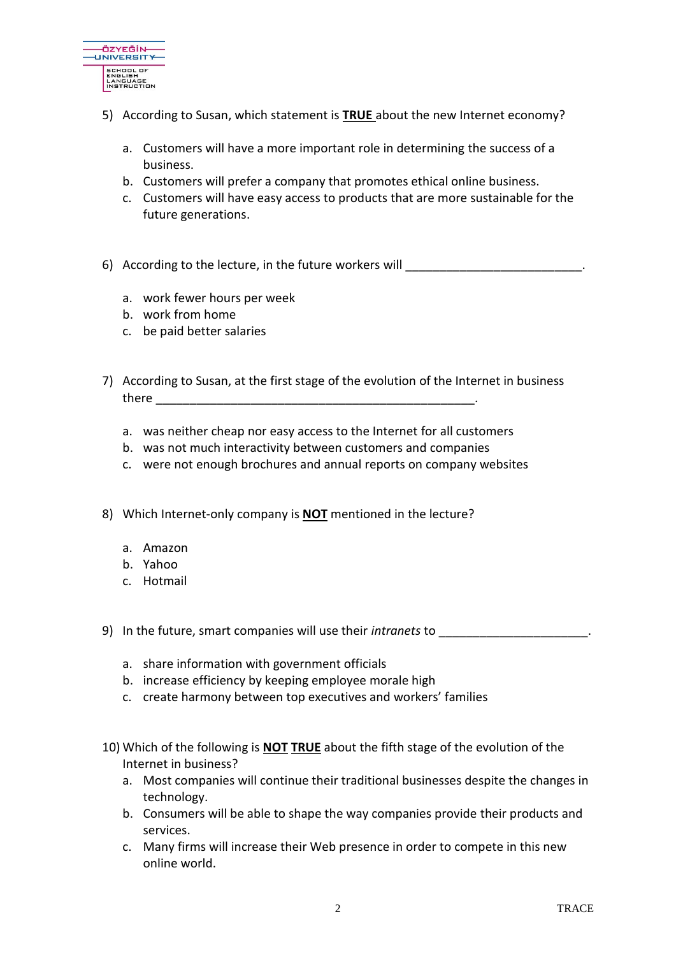

- 5) According to Susan, which statement is **TRUE** about the new Internet economy?
	- a. Customers will have a more important role in determining the success of a business.
	- b. Customers will prefer a company that promotes ethical online business.
	- c. Customers will have easy access to products that are more sustainable for the future generations.
- 6) According to the lecture, in the future workers will
	- a. work fewer hours per week
	- b. work from home
	- c. be paid better salaries
- 7) According to Susan, at the first stage of the evolution of the Internet in business there \_\_\_\_\_\_\_\_\_\_\_\_\_\_\_\_\_\_\_\_\_\_\_\_\_\_\_\_\_\_\_\_\_\_\_\_\_\_\_\_\_\_\_\_\_\_\_.
	- a. was neither cheap nor easy access to the Internet for all customers
	- b. was not much interactivity between customers and companies
	- c. were not enough brochures and annual reports on company websites
- 8) Which Internet-only company is **NOT** mentioned in the lecture?
	- a. Amazon
	- b. Yahoo
	- c. Hotmail
- 9) In the future, smart companies will use their *intranets* to \_\_\_\_\_\_\_\_\_\_\_\_\_\_\_\_\_\_\_\_\_\_.
	- a. share information with government officials
	- b. increase efficiency by keeping employee morale high
	- c. create harmony between top executives and workers' families
- 10) Which of the following is **NOT TRUE** about the fifth stage of the evolution of the Internet in business?
	- a. Most companies will continue their traditional businesses despite the changes in technology.
	- b. Consumers will be able to shape the way companies provide their products and services.
	- c. Many firms will increase their Web presence in order to compete in this new online world.